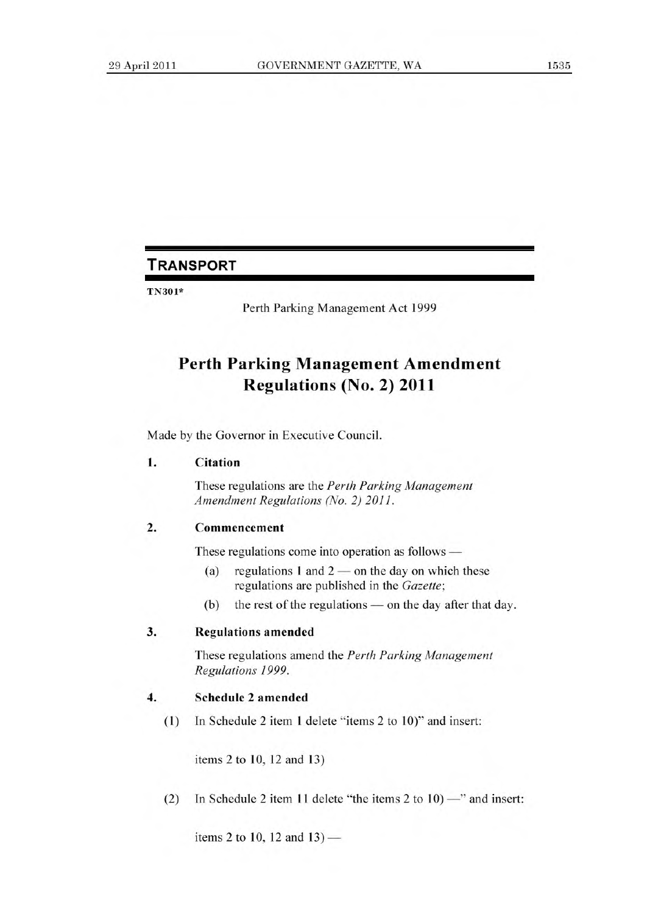# **TRANSPORT**

TN301\*

Perth Parking Management Act 1999

# **Perth Parking Management Amendment Regulations (No. 2) 2011**

Made by the Governor in Executive Council.

#### **1. Citation**

These regulations are the *Perth Parking Management Amendment Regulations (No. 2) 2011.* 

### 2. Commencement

These regulations come into operation as follows —

- (a) regulations 1 and  $2$  on the day on which these regulations are published in the *Gazette;*
- (b) the rest of the regulations on the day after that day.

## 3. Regulations amended

These regulations amend the *Perth Parking Management Regulations 1999.* 

#### **4. Schedule 2 amended**

(1) In Schedule 2 item 1 delete "items 2 to 10)" and insert:

items 2 to 10, 12 and 13)

(2) In Schedule 2 item 11 delete "the items 2 to 10) —" and insert:

items 2 to 10, 12 and 13) —